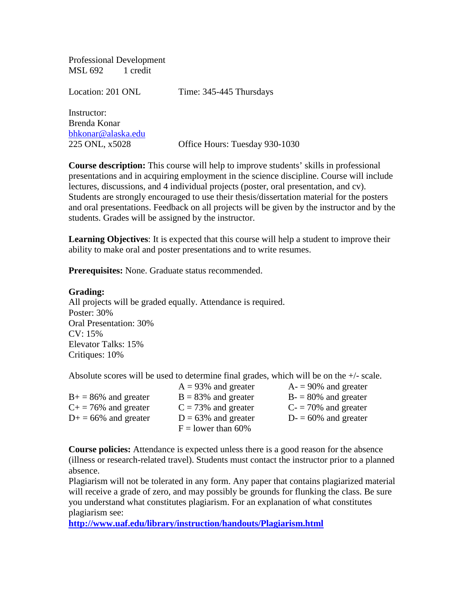Professional Development MSL 692 1 credit

Location: 201 ONL Time: 345-445 Thursdays Instructor: Brenda Konar [bhkonar@alaska.edu](mailto:bhkonar@alaska.edu) 225 ONL, x5028 Office Hours: Tuesday 930-1030

**Course description:** This course will help to improve students' skills in professional presentations and in acquiring employment in the science discipline. Course will include lectures, discussions, and 4 individual projects (poster, oral presentation, and cv). Students are strongly encouraged to use their thesis/dissertation material for the posters and oral presentations. Feedback on all projects will be given by the instructor and by the students. Grades will be assigned by the instructor.

**Learning Objectives**: It is expected that this course will help a student to improve their ability to make oral and poster presentations and to write resumes.

**Prerequisites:** None. Graduate status recommended.

## **Grading:**

All projects will be graded equally. Attendance is required. Poster: 30% Oral Presentation: 30% CV: 15% Elevator Talks: 15% Critiques: 10%

Absolute scores will be used to determine final grades, which will be on the +/- scale.

|                          | $A = 93\%$ and greater | $A = 90\%$ and greater |
|--------------------------|------------------------|------------------------|
| $B_+ = 86\%$ and greater | $B = 83\%$ and greater | $B = 80\%$ and greater |
| $C+=76\%$ and greater    | $C = 73\%$ and greater | $C = 70\%$ and greater |
| $D+ = 66\%$ and greater  | $D = 63\%$ and greater | $D = 60\%$ and greater |
|                          | $F =$ lower than 60%   |                        |

**Course policies:** Attendance is expected unless there is a good reason for the absence (illness or research-related travel). Students must contact the instructor prior to a planned absence.

Plagiarism will not be tolerated in any form. Any paper that contains plagiarized material will receive a grade of zero, and may possibly be grounds for flunking the class. Be sure you understand what constitutes plagiarism. For an explanation of what constitutes plagiarism see:

**<http://www.uaf.edu/library/instruction/handouts/Plagiarism.html>**